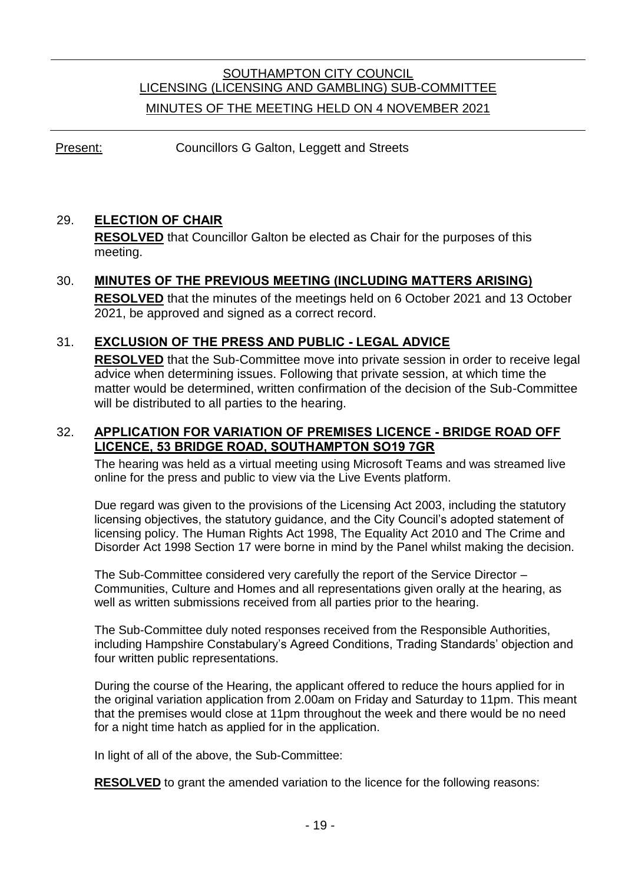# SOUTHAMPTON CITY COUNCIL LICENSING (LICENSING AND GAMBLING) SUB-COMMITTEE MINUTES OF THE MEETING HELD ON 4 NOVEMBER 2021

Present: Councillors G Galton, Leggett and Streets

### 29. **ELECTION OF CHAIR**

**RESOLVED** that Councillor Galton be elected as Chair for the purposes of this meeting.

# 30. **MINUTES OF THE PREVIOUS MEETING (INCLUDING MATTERS ARISING) RESOLVED** that the minutes of the meetings held on 6 October 2021 and 13 October 2021, be approved and signed as a correct record.

## 31. **EXCLUSION OF THE PRESS AND PUBLIC - LEGAL ADVICE**

**RESOLVED** that the Sub-Committee move into private session in order to receive legal advice when determining issues. Following that private session, at which time the matter would be determined, written confirmation of the decision of the Sub-Committee will be distributed to all parties to the hearing.

#### 32. **APPLICATION FOR VARIATION OF PREMISES LICENCE - BRIDGE ROAD OFF LICENCE, 53 BRIDGE ROAD, SOUTHAMPTON SO19 7GR**

The hearing was held as a virtual meeting using Microsoft Teams and was streamed live online for the press and public to view via the Live Events platform.

Due regard was given to the provisions of the Licensing Act 2003, including the statutory licensing objectives, the statutory guidance, and the City Council's adopted statement of licensing policy. The Human Rights Act 1998, The Equality Act 2010 and The Crime and Disorder Act 1998 Section 17 were borne in mind by the Panel whilst making the decision.

The Sub-Committee considered very carefully the report of the Service Director – Communities, Culture and Homes and all representations given orally at the hearing, as well as written submissions received from all parties prior to the hearing.

The Sub-Committee duly noted responses received from the Responsible Authorities, including Hampshire Constabulary's Agreed Conditions, Trading Standards' objection and four written public representations.

During the course of the Hearing, the applicant offered to reduce the hours applied for in the original variation application from 2.00am on Friday and Saturday to 11pm. This meant that the premises would close at 11pm throughout the week and there would be no need for a night time hatch as applied for in the application.

In light of all of the above, the Sub-Committee:

**RESOLVED** to grant the amended variation to the licence for the following reasons: